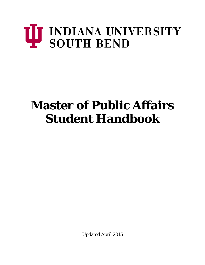# U INDIANA UNIVERSITY<br>SOUTH BEND

# **Master of Public Affairs Student Handbook**

Updated April 2015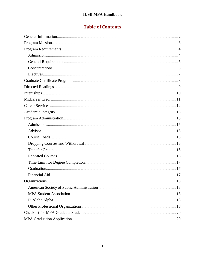# **Table of Contents**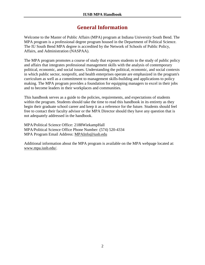# **General Information**

<span id="page-2-0"></span>Welcome to the Master of Public Affairs (MPA) program at Indiana University South Bend. The MPA program is a professional degree program housed in the Department of Political Science. The IU South Bend MPA degree is accredited by the Network of Schools of Public Policy, Affairs, and Administration (NASPAA).

The MPA program promotes a course of study that exposes students to the study of public policy and affairs that integrates professional management skills with the analysis of contemporary political, economic, and social issues. Understanding the political, economic, and social contexts in which public sector, nonprofit, and health enterprises operate are emphasized in the program's curriculum as well as a commitment to management skills-building and applications to policy making. The MPA program provides a foundation for equipping managers to excel in their jobs and to become leaders in their workplaces and communities.

This handbook serves as a guide to the policies, requirements, and expectations of students within the program. Students should take the time to read this handbook in its entirety as they begin their graduate school career and keep it as a reference for the future. Students should feel free to contact their faculty advisor or the MPA Director should they have any question that is not adequately addressed in the handbook.

MPA/Political Science Office: 2188WiekampHall MPA/Political Science Office Phone Number: (574) 520-4334 MPA Program Email Address: [MPAInfo@iusb.edu](mailto:MPAInfo@iusb.edu)

Additional information about the MPA program is available on the MPA webpage located at: [www.mpa.iusb.edu/.](http://www.mpa.iusb.edu/)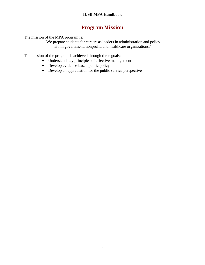# **Program Mission**

<span id="page-3-0"></span>The mission of the MPA program is:

"We prepare students for careers as leaders in administration and policy within government, nonprofit, and healthcare organizations."

The mission of the program is achieved through three goals:

- Understand key principles of effective management
- Develop evidence-based public policy
- Develop an appreciation for the public service perspective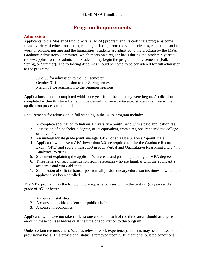# **Program Requirements**

# <span id="page-4-1"></span><span id="page-4-0"></span>**Admission**

Applicants to the Master of Public Affairs (MPA) program and its certificate programs come from a variety of educational backgrounds, including from the social sciences, education, social work, medicine, nursing and the humanities. Students are admitted to the program by the MPA Graduate Admissions Committee, which meets on a regular basis during the academic year to review applications for admission. Students may begin the program in any semester (Fall, Spring, or Summer). The following deadlines should be noted to be considered for full admission to the program:

June 30 for admission to the Fall semester October 31 for admission to the Spring semester March 31 for admission to the Summer sessions

Applications must be completed within one year from the date they were begun. Applications not completed within this time frame will be denied; however, interested students can restart their application process at a later date.

Requirements for admission in full standing in the MPA program include:

- 1. A complete application to Indiana University South Bend with a paid application fee.
- 2. Possession of a bachelor's degree, or its equivalent, from a regionally accredited college or university.
- 3. An undergraduate grade point average (GPA) of at least a 3.0 on a 4-point scale.
- 4. Applicants who have a GPA lower than 3.0 are required to take the Graduate Record Exam (GRE) and score at least 150 in each Verbal and Quantitative Reasoning and a 4 in Analytical Writing.
- 5. Statement explaining the applicant's interests and goals in pursuing an MPA degree.
- 6. Three letters of recommendation from references who are familiar with the applicant's academic and work abilities.
- 7. Submission of official transcripts from all postsecondary education institutes in which the applicant has been enrolled.

The MPA program has the following prerequisite courses within the past six (6) years and a grade of "C" or better.

- 1. A course in statistics
- 2. A course in political science or public affairs
- 3. A course in economics

Applicants who have not taken at least one course in each of the three areas should arrange to enroll in these courses before or at the time of application to the program.

Under certain circumstances (such as relevant work experience), students may be admitted on a provisional basis. This provisional status is removed upon fulfillment of stipulated conditions.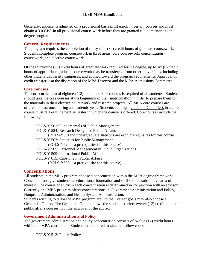Generally, applicants admitted on a provisional basis must enroll in certain courses and must obtain a 3.0 GPA in all provisional course work before they are granted full admittance to the degree program.

### <span id="page-5-0"></span>**General Requirements**

The program requires the completion of thirty-nine (39) credit hours of graduate coursework. Students complete program coursework in three areas: core coursework, concentration coursework, and elective coursework.

Of the thirty-nine (39) credit hours of graduate work required for the degree, up to six (6) credit hours of appropriate graduate course work may be transferred from other universities, including other Indiana University campuses, and applied toward the program requirements. Approval of credit transfer is at the discretion of the MPA Director and the MPA Admissions Committee.

### **Core Courses**

The core curriculum of eighteen (18) credit hours of courses is required of all students. Students should take the core courses at the beginning of their matriculation in order to prepare them for the materials in their elective coursework and research projects. All MPA core courses are offered at least once during an academic year. Students earning a grade of "C-" or less in a core course must retake it the next semester in which the course is offered. Core courses include the following:

POLS-Y 501: Fundamentals of Public Management POLS-Y 524: Research Design for Public Affairs (POLS-Y501and undergraduate statistics are each prerequisites for this course) POLS-Y 503: Statistics for Public Management (POLS-Y524 is a prerequisite for this course) POLS-Y 505: Personnel Management in Public Organizations POLS-Y 509: International Public Affairs POLS-Y 615: Capstone in Public Affairs (POLS-Y503 is a prerequisite for this course)

# <span id="page-5-1"></span>**Concentrations**

All students in the MPA program choose a concentration within the MPA degree framework. Concentrations give students an educational foundation and skill set in a substantive area of interest. The course of study in each concentration is determined in conjunction with an advisor. Currently, the MPA program offers concentrations in Government Administration and Policy, Nonprofit Administration, and Health System Administration.

Students wishing to tailor the MPA program around their career goals may also choose a Generalist Option. The Generalist Option allows the student to select twelve (12) credit hours of public affairs courses with the approval of the advisor.

# **Government Administration and Policy**

The government administration and policy concentration consists of twelve (12) credit hours within the MPA curriculum. Students are required to take the follow course:

POLS-Y 513: Public Policy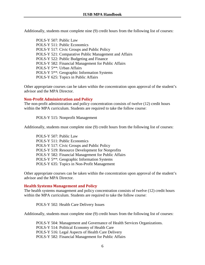Additionally, students must complete nine (9) credit hours from the following list of courses:

POLS-Y 507: Public Law POLS-Y 511: Public Economics POLS-Y 517: Civic Groups and Public Policy POLS-Y 521: Comparative Public Management and Affairs POLS-Y 522: Public Budgeting and Finance POLS-Y 582: Financial Management for Public Affairs POLS-Y 5\*\*: Urban Affairs POLS-Y 5\*\*: Geographic Information Systems POLS-Y 625: Topics in Public Affairs

Other appropriate courses can be taken within the concentration upon approval of the student's advisor and the MPA Director.

### **Non-Profit Administration and Policy**

The non-profit administration and policy concentration consists of twelve (12) credit hours within the MPA curriculum. Students are required to take the follow course:

POLS-Y 515: Nonprofit Management

Additionally, students must complete nine (9) credit hours from the following list of courses:

POLS-Y 507: Public Law POLS-Y 511: Public Economics POLS-Y 517: Civic Groups and Public Policy POLS-Y 519: Resource Development for Nonprofits POLS-Y 582: Financial Management for Public Affairs POLS-Y 5\*\*: Geographic Information Systems POLS-Y 635: Topics in Non-Profit Management

Other appropriate courses can be taken within the concentration upon approval of the student's advisor and the MPA Director.

### **Health Systems Management and Policy**

The health systems management and policy concentration consists of twelve (12) credit hours within the MPA curriculum. Students are required to take the follow course:

POLS-Y 502: Health Care Delivery Issues

Additionally, students must complete nine (9) credit hours from the following list of courses:

POLS-Y 504: Management and Governance of Health Services Organizations. POLS-Y 514: Political Economy of Health Care POLS-Y 516: Legal Aspects of Health Care Delivery POLS-Y 582: Financial Management for Public Affairs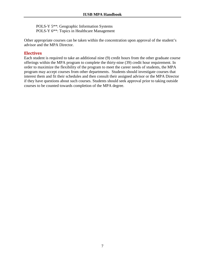POLS-Y 5\*\*: Geographic Information Systems POLS-Y 6\*\*: Topics in Healthcare Management

Other appropriate courses can be taken within the concentration upon approval of the student's advisor and the MPA Director.

### <span id="page-7-0"></span>**Electives**

Each student is required to take an additional nine (9) credit hours from the other graduate course offerings within the MPA program to complete the thirty-nine (39) credit hour requirement. In order to maximize the flexibility of the program to meet the career needs of students, the MPA program may accept courses from other departments. Students should investigate courses that interest them and fit their schedules and then consult their assigned advisor or the MPA Director if they have questions about such courses. Students should seek approval prior to taking outside courses to be counted towards completion of the MPA degree.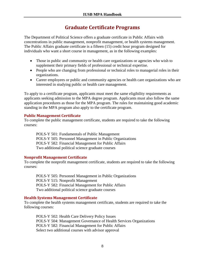# **Graduate Certificate Programs**

<span id="page-8-0"></span>The Department of Political Science offers a graduate certificate in Public Affairs with concentrations in public management, nonprofit management, or health systems management. The Public Affairs graduate certificate is a fifteen (15) credit hour program designed for individuals who want a short course in management, as in the following examples:

- Those in public and community or health care organizations or agencies who wish to supplement their primary fields of professional or technical expertise.
- People who are changing from professional or technical roles to managerial roles in their organizations.
- Career employees or public and community agencies or health care organizations who are interested in studying public or health care management.

To apply to a certificate program, applicants must meet the same eligibility requirements as applicants seeking admission to the MPA degree program. Applicants must also follow the same application procedures as those for the MPA program. The rules for maintaining good academic standing in the MPA program also apply to the certificate program.

### **Public Management Certificate**

To complete the public management certificate, students are required to take the following courses:

POLS-Y 501: Fundamentals of Public Management POLS-Y 505: Personnel Management in Public Organizations POLS-Y 582: Financial Management for Public Affairs Two additional political science graduate courses

# **Nonprofit Management Certificate**

To complete the nonprofit management certificate, students are required to take the following courses:

POLS-Y 505: Personnel Management in Public Organizations POLS-Y 515: Nonprofit Management POLS-Y 582: Financial Management for Public Affairs Two additional political science graduate courses

### **Health Systems Management Certificate**

To complete the health systems management certificate, students are required to take the following courses:

POLS-Y 502: Health Care Delivery Policy Issues POLS-Y 504: Management Governance of Health Services Organizations POLS-Y 582: Financial Management for Public Affairs Select two additional courses with advisor approval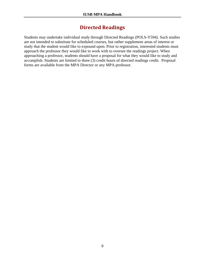# **Directed Readings**

<span id="page-9-0"></span>Students may undertake individual study through Directed Readings (POLS-Y594). Such studies are not intended to substitute for scheduled courses, but rather supplement areas of interest or study that the student would like to expound upon. Prior to registration, interested students must approach the professor they would like to work with to oversee the readings project. When approaching a professor, students should have a proposal for what they would like to study and accomplish. Students are limited to three (3) credit hours of directed readings credit. Proposal forms are available from the MPA Director or any MPA professor.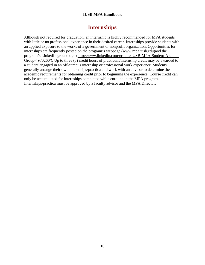# **Internships**

<span id="page-10-0"></span>Although not required for graduation, an internship is highly recommended for MPA students with little or no professional experience in their desired career. Internships provide students with an applied exposure to the works of a government or nonprofit organization. Opportunities for internships are frequently posted on the program's webpage [\(www.mpa.iusb.edu\)](http://www.mpa.iusb.edu/)and the program's LinkedIn group page [\(http://www.linkedin.com/groups/IUSB-MPA-Student-Alumni-](http://www.linkedin.com/groups/IUSB-MPA-Student-Alumni-Group-4970260/)[Group-4970260/\)](http://www.linkedin.com/groups/IUSB-MPA-Student-Alumni-Group-4970260/). Up to three (3) credit hours of practicum/internship credit may be awarded to a student engaged in an off-campus internship or professional work experience. Students generally arrange their own internships/practica and work with an advisor to determine the academic requirements for obtaining credit prior to beginning the experience. Course credit can only be accumulated for internships completed while enrolled in the MPA program. Internships/practica must be approved by a faculty advisor and the MPA Director.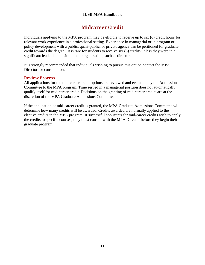# **Midcareer Credit**

<span id="page-11-0"></span>Individuals applying to the MPA program may be eligible to receive up to six (6) credit hours for relevant work experience in a professional setting. Experience in managerial or in program or policy development with a public, quasi-public, or private agency can be petitioned for graduate credit towards the degree. It is rare for students to receive six (6) credits unless they were in a significant leadership position in an organization, such as director.

It is strongly recommended that individuals wishing to pursue this option contact the MPA Director for consultation.

# **Review Process**

All applications for the mid-career credit options are reviewed and evaluated by the Admissions Committee to the MPA program. Time served in a managerial position does not automatically qualify itself for mid-career credit. Decisions on the granting of mid-career credits are at the discretion of the MPA Graduate Admissions Committee.

If the application of mid-career credit is granted, the MPA Graduate Admissions Committee will determine how many credits will be awarded. Credits awarded are normally applied to the elective credits in the MPA program. If successful applicants for mid-career credits wish to apply the credits to specific courses, they must consult with the MPA Director before they begin their graduate program.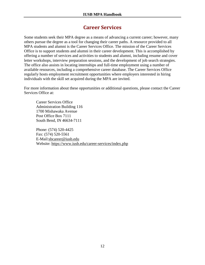# **Career Services**

<span id="page-12-0"></span>Some students seek their MPA degree as a means of advancing a current career; however, many others pursue the degree as a tool for changing their career paths. A resource provided to all MPA students and alumni is the Career Services Office. The mission of the Career Services Office is to support students and alumni in their career development. This is accomplished by offering a number of services and activities to students and alumni, including resume and cover letter workshops, interview preparation sessions, and the development of job search strategies. The office also assists in locating internships and full-time employment using a number of available resources, including a comprehensive [career database.](https://iusb-csm.symplicity.com/) The Career Services Office regularly hosts employment recruitment opportunities where employers interested in hiring individuals with the skill set acquired during the MPA are invited.

For more information about these opportunities or additional questions, please contact the Career Services Office at:

Career Services Office Administration Building 116 1700 Mishawaka Avenue Post Office Box 7111 South Bend, IN 46634-7111

Phone: (574) 520-4425 Fax: (574) 520-5561 E-Mail[:sbcareer@iusb.edu](mailto:sbcareer@iusb.edu) Website:<https://www.iusb.edu/career-services/index.php>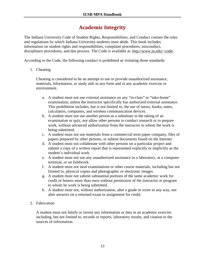# **Academic Integrity**

<span id="page-13-0"></span>The Indiana University Code of Student Rights, Responsibilities, and Conduct contain the rules and regulations by which Indiana University students must abide. This book includes information on student rights and responsibilities, complaint procedures, misconduct, disciplinary procedures, and due process. The Code is available at: <http://www.iu.edu/~code/>

According to the Code, the following conduct is prohibited as violating those standards:

1. Cheating

Cheating is considered to be an attempt to use or provide unauthorized assistance, materials, information, or study aids in any form and in any academic exercise or environment.

- a. A student must not use external assistance on any "in-class" or "take-home" examination, unless the instructor specifically has authorized external assistance. This prohibition includes, but is not limited to, the use of tutors, books, notes, calculators, computers, and wireless communication devices.
- b. A student must not use another person as a substitute in the taking of an examination or quiz, nor allow other persons to conduct research or to prepare work, without advanced authorization from the instructor to whom the work is being submitted.
- c. A student must not use materials from a commercial term paper company, files of papers prepared by other persons, or submit documents found on the Internet.
- d. A student must not collaborate with other persons on a particular project and submit a copy of a written report that is represented explicitly or implicitly as the student's individual work.
- e. A student must not use any unauthorized assistance in a laboratory, at a computer terminal, or on fieldwork.
- f. A student must not steal examinations or other course materials, including but not limited to, physical copies and photographic or electronic images.
- g. A student must not submit substantial portions of the same academic work for credit or honors more than once without permission of the instructor or program to whom he work is being submitted.
- h. A student must not, without authorization, alter a grade or score in any way, nor alter answers on a returned exam or assignment for credit.
- 2. Fabrication

A student must not falsify or invent any information or data in an academic exercise including, but not limited to, records or reports, laboratory results, and citation to the sources of information.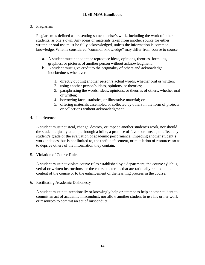### 3. Plagiarism

Plagiarism is defined as presenting someone else's work, including the work of other students, as one's own. Any ideas or materials taken from another source for either written or oral use must be fully acknowledged, unless the information is common knowledge. What is considered "common knowledge" may differ from course to course.

- a. A student must not adopt or reproduce ideas, opinions, theories, formulas, graphics, or pictures of another person without acknowledgment.
- b. A student must give credit to the originality of others and acknowledge indebtedness whenever:
	- 1. directly quoting another person's actual words, whether oral or written;
	- 2. using another person's ideas, opinions, or theories;
	- 3. paraphrasing the words, ideas, opinions, or theories of others, whether oral or written;
	- 4. borrowing facts, statistics, or illustrative material; or
	- 5. offering materials assembled or collected by others in the form of projects or collections without acknowledgment
- 4. Interference

A student must not steal, change, destroy, or impede another student's work, nor should the student unjustly attempt, through a bribe, a promise of favors or threats, to affect any student's grade or the evaluation of academic performance. Impeding another student's work includes, but is not limited to, the theft, defacement, or mutilation of resources so as to deprive others of the information they contain.

5. Violation of Course Rules

A student must not violate course rules established by a department, the course syllabus, verbal or written instructions, or the course materials that are rationally related to the content of the course or to the enhancement of the learning process in the course.

6. Facilitating Academic Dishonesty

A student must not intentionally or knowingly help or attempt to help another student to commit an act of academic misconduct, nor allow another student to use his or her work or resources to commit an act of misconduct.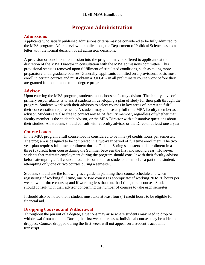# **Program Administration**

# <span id="page-15-1"></span><span id="page-15-0"></span>**Admissions**

Applicants who satisfy published admissions criteria may be considered to be fully admitted to the MPA program. After a review of applications, the Department of Political Science issues a letter with the formal decision of all admission decisions.

A provision or conditional admission into the program may be offered to applicants at the discretion of the MPA Director in consultation with the MPA admissions committee. This provisional status is removed upon fulfillment of stipulated conditions, such as taking more preparatory undergraduate courses. Generally, applicants admitted on a provisional basis must enroll in certain courses and must obtain a 3.0 GPA in all preliminary course work before they are granted full admittance to the degree program.

# <span id="page-15-2"></span>**Advisor**

Upon entering the MPA program, students must choose a faculty advisor. The faculty advisor's primary responsibility is to assist students in developing a plan of study for their path through the program. Students work with their advisors to select courses in key areas of interest to fulfill their concentration requirements. A student may choose any full time MPA faculty member as an advisor. Students are also free to contact any MPA faculty member, regardless of whether that faculty member is the student's advisor, or the MPA Director with substantive questions about their studies. All students should consult with a faculty advisor or the Director at least one a year.

# <span id="page-15-3"></span>**Course Loads**

In the MPA program a full course load is considered to be nine (9) credits hours per semester. The program is designed to be completed in a two-year period of full time enrollment. The two year plan requires full time enrollment during Fall and Spring semesters and enrollment in a three (3) credit hour course during the Summer between the first and second year. However, students that maintain employment during the program should consult with their faculty advisor before attempting a full course load. It is common for students to enroll as a part time student, attempting only one or two courses during a semester.

Students should use the following as a guide in planning their course schedule and when registering: if working full time, one or two courses is appropriate; if working 20 to 30 hours per week, two or three courses; and if working less than one-half time, three courses. Students should consult with their advisor concerning the number of courses to take each semester.

It should also be noted that a student must take at least four (4) credit hours to be eligible for financial aid.

# <span id="page-15-4"></span>**Dropping Courses and Withdrawal**

Throughout the pursuit of a degree, situations may arise where students may need to drop or withdrawal from a course. During the first week of classes, individual courses may be added or dropped. Courses dropped during the first week will not appear on a student's academic transcript.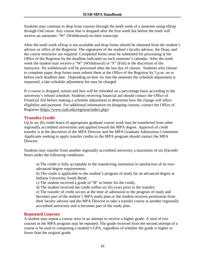Students may continue to drop from courses through the tenth week of a semester using eDrop through OnCourse. Any course that is dropped after the first week but before the tenth will receive an automatic "W" (Withdrawal) on their transcript.

After the tenth week eDrop is not available and drop forms should be obtained from the student's advisor or office of the Registrar. The signatures of the student's faculty advisor, the Dean, and the course instructor are required. Completed forms must be submitted for processing at the Office of the Registrar by the deadline indicated on each semester's calendar. After the tenth week the student may receive a "W" (Withdrawal) or "F" (Fail) at the discretion of the instructor. No withdrawals will be processed after the last day of classes. Students who choose to complete paper drop forms must submit them at the Office of the Registrar by 5 p.m. on or before each deadline date. Depending on how far into the semester the schedule adjustment is requested, a late schedule adjustment fee may be charged.

If a course is dropped, tuition and fees will be refunded on a percentage basis according to the university's refund schedule. Students receiving financial aid should contact the Office of Financial Aid before making a schedule adjustment to determine how the change will affect eligibility and payment. For additional information on dropping courses, contact the Office of Registrar [\(https://www.iusb.edu/registrar/index.php\)](https://www.iusb.edu/registrar/index.php).

# <span id="page-16-0"></span>**Transfer Credit**

Up to six (6) credit hours of appropriate graduate course work may be transferred from other regionally accredited universities and applied toward the MPA degree. Approval of credit transfer is at the discretion of the MPA Director and the MPA Graduate Admissions Committee. Applicants seeking to apply transfer credits to the MPA program should contact the MPA Director.

Students may transfer from another regionally accredited university a maximum of six (6)credit hours under the following conditions:

a) The credit is fully acceptable to the transferring institution in satisfaction of its own advanced degree requirements;

b) The credit is applicable to the student's program of study for an advanced degree at Indiana University South Bend;

c) The student received a grade of "B" or better for the credit;

d) The student received the credit within six (6) years prior to the transfer;

e) The transfer of credit occurs at the time of admission to the program of study and becomes part of the student's MPA study plan *or* the student receives permission from their faculty advisor and the MPA Director to take a transfer course at another regionally accredited university and it becomes part of the study plan.

# <span id="page-16-1"></span>**Repeated Courses**

A student may repeat a course once in an attempt to receive a higher grade. A total of two courses in the MPA program may be repeated. The grade received from the second attempt of a course is be used in computing a student's GPA, regardless of whether the grade is higher or lower than the original grade.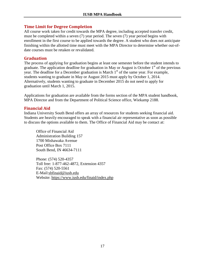# <span id="page-17-0"></span>**Time Limit for Degree Completion**

All course work taken for credit towards the MPA degree, including accepted transfer credit, must be completed within a seven (7) year period. The seven (7) year period begins with enrollment in the first course to be applied towards the degree. A student who does not anticipate finishing within the allotted time must meet with the MPA Director to determine whether out-ofdate courses must be retaken or revalidated.

### <span id="page-17-1"></span>**Graduation**

The process of applying for graduation begins at least one semester before the student intends to graduate. The application deadline for graduation in May or August is October  $1<sup>st</sup>$  of the previous year. The deadline for a December graduation is March 1<sup>st</sup> of the same year. For example, students wanting to graduate in May or August 2015 must apply by October 1, 2014. Alternatively, students wanting to graduate in December 2015 do not need to apply for graduation until March 1, 2015.

Applications for graduation are available from the forms section of the MPA student handbook, MPA Director and from the Department of Political Science office, Wiekamp 2188.

# <span id="page-17-2"></span>**Financial Aid**

Indiana University South Bend offers an array of resources for students seeking financial aid. Students are heavily encouraged to speak with a financial air representative as soon as possible to discuss the options available to them. The Office of Financial Aid may be contact at:

Office of Financial Aid Administration Building 157 1700 Mishawaka Avenue Post Office Box 7111 South Bend, IN 46634-7111

Phone: (574) 520-4357 Toll free: 1-877-462-4872, Extension 4357 Fax: (574) 520-5561 E-Mail[:sbfinaid@iusb.edu](mailto:sbfinaid@iusb.edu) Website:<https://www.iusb.edu/finaid/index.php>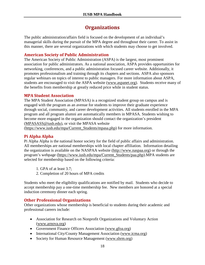# **Organizations**

<span id="page-18-0"></span>The public administration/affairs field is focused on the development of an individual's managerial skills during the pursuit of the MPA degree and throughout their career. To assist in this manner, there are several organizations with which students may choose to get involved.

### <span id="page-18-1"></span>**American Society of Public Administration**

The American Society of Public Administration (ASPA) is the largest, most prominent association for public administrators. As a national association, ASPA provides opportunities for networking, conferences, and a public administration focused career website. Additionally, it promotes professionalism and training through its chapters and sections. ASPA also sponsors regular webinars on topics of interest to public managers. For more information about ASPA, students are encouraged to visit the ASPA website [\(www.aspanet.org\)](http://www.aspanet.org/). Students receive many of the benefits from membership at greatly reduced price while in student status.

### <span id="page-18-2"></span>**MPA Student Association**

The MPA Student Association (MPASA) is a recognized student group on campus and is engaged with the program as an avenue for students to improve their graduate experience through social, community, and career development activities. All students enrolled in the MPA program and all program alumni are automatically members in MPASA. Students wishing to become more engaged in the organization should contact the organization's president [\(MPASASS@iusb.edu\)](mailto:MPASASS@iusb.edu), or visit the MPASA website

[\(https://www.iusb.edu/mpa/Current\\_Students/mpasa.php\)](https://www.iusb.edu/mpa/Current_Students/mpasa.php) for more information.

### <span id="page-18-3"></span>**Pi Alpha Alpha**

Pi Alpha Alpha is the national honor society for the field of public affairs and administration. All memberships are national memberships with local chapter affiliation. Information detailing the organization is available on the NASPAA website [\(http://www.naspaa.org\)](http://www.naspaa.org/) or through the program's webpage [\(https://www.iusb.edu/mpa/Current\\_Students/paa.php\)](https://www.iusb.edu/mpa/Current_Students/paa.php).MPA students are selected for membership based on the following criteria:

1. GPA of at least 3.7;

2. Completion of 20 hours of MPA credits

Students who meet the eligibility qualifications are notified by mail. Students who decide to accept membership pay a one-time membership fee. New members are honored at a special induction ceremony dinner each spring.

### <span id="page-18-4"></span>**Other Professional Organizations**

Other organizations whose membership is beneficial to students during their academic and professional careers include:

- Association for Research on Nonprofit Organizations and Voluntary Action [\(www.arnova.org\)](http://www.arnova.org/)
- Government Finance Officers Association [\(www.gfoa.org\)](http://www.gfoa.org/)
- International City/County Management Association [\(www.icma.org\)](http://www.icma.org/)
- Society for Human Resource Management [\(www.shrm.org\)](http://www.shrm.org/)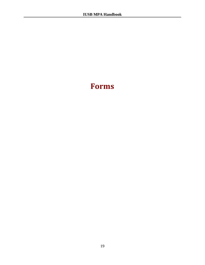# **Forms**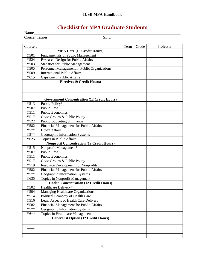# **Checklist for MPA Graduate Students**

<span id="page-20-0"></span>Name\_\_\_\_\_\_\_\_\_\_\_\_\_\_\_\_\_\_\_\_\_\_\_\_\_\_\_\_\_\_\_\_\_\_\_\_\_\_\_\_\_\_\_\_\_\_\_\_\_\_\_\_\_\_\_\_\_\_\_\_\_\_\_\_\_\_\_\_\_\_\_\_\_ Concentration\_\_\_\_\_\_\_\_\_\_\_\_\_\_\_\_\_\_\_\_\_\_\_\_\_\_ S.I.D.\_\_\_\_\_\_\_\_\_\_\_\_\_\_\_\_\_\_\_\_\_\_\_\_\_\_\_\_\_\_\_\_\_\_

| Course # |                                                   | Term | Grade | Professor |  |  |
|----------|---------------------------------------------------|------|-------|-----------|--|--|
|          | <b>MPA Core (18 Credit Hours)</b>                 |      |       |           |  |  |
| Y501     | <b>Fundamentals of Public Management</b>          |      |       |           |  |  |
| Y524     | Research Design for Public Affairs                |      |       |           |  |  |
| Y503     | <b>Statistics for Public Management</b>           |      |       |           |  |  |
| Y505     | Personnel Management in Public Organizations      |      |       |           |  |  |
| Y509     | <b>International Public Affairs</b>               |      |       |           |  |  |
| Y615     | Capstone in Public Affairs                        |      |       |           |  |  |
|          | <b>Electives (9 Credit Hours)</b>                 |      |       |           |  |  |
|          |                                                   |      |       |           |  |  |
|          |                                                   |      |       |           |  |  |
|          |                                                   |      |       |           |  |  |
|          | <b>Government Concentration (12 Credit Hours)</b> |      |       |           |  |  |
| Y513     | Public Policy*                                    |      |       |           |  |  |
| Y507     | Public Law                                        |      |       |           |  |  |
| Y511     | <b>Public Economics</b>                           |      |       |           |  |  |
| Y517     | Civic Groups & Public Policy                      |      |       |           |  |  |
| Y522     | Public Budgeting & Finance                        |      |       |           |  |  |
| Y582     | Financial Management for Public Affairs           |      |       |           |  |  |
| $Y5**$   | <b>Urban Affairs</b>                              |      |       |           |  |  |
| $Y5**$   | Geographic Information Systems                    |      |       |           |  |  |
| Y625     | Topics in Public Affairs                          |      |       |           |  |  |
|          | <b>Nonprofit Concentration (12 Credit Hours)</b>  |      |       |           |  |  |
| Y515     | Nonprofit Management*                             |      |       |           |  |  |
| Y507     | Public Law                                        |      |       |           |  |  |
| Y511     | <b>Public Economics</b>                           |      |       |           |  |  |
| Y517     | Civic Groups & Public Policy                      |      |       |           |  |  |
| Y519     | <b>Resource Development for Nonprofits</b>        |      |       |           |  |  |
| Y582     | Financial Management for Public Affairs           |      |       |           |  |  |
| $Y5**$   | Geographic Information Systems                    |      |       |           |  |  |
| Y635     | Topics in Nonprofit Management                    |      |       |           |  |  |
|          | <b>Health Concentration (12 Credit Hours)</b>     |      |       |           |  |  |
| Y502     | Healthcare Delivery*                              |      |       |           |  |  |
| Y504     | <b>Managing Healthcare Organizations</b>          |      |       |           |  |  |
| Y514     | Political Economy of Health Care                  |      |       |           |  |  |
| Y516     | Legal Aspects of Health Care Delivery             |      |       |           |  |  |
| Y582     | Financial Management for Public Affairs           |      |       |           |  |  |
| $Y5**$   | Geographic Information Systems                    |      |       |           |  |  |
| $Y6**$   | Topics in Healthcare Management                   |      |       |           |  |  |
|          | <b>Generalist Option (12 Credit Hours)</b>        |      |       |           |  |  |
|          |                                                   |      |       |           |  |  |
|          |                                                   |      |       |           |  |  |
|          |                                                   |      |       |           |  |  |
|          |                                                   |      |       |           |  |  |